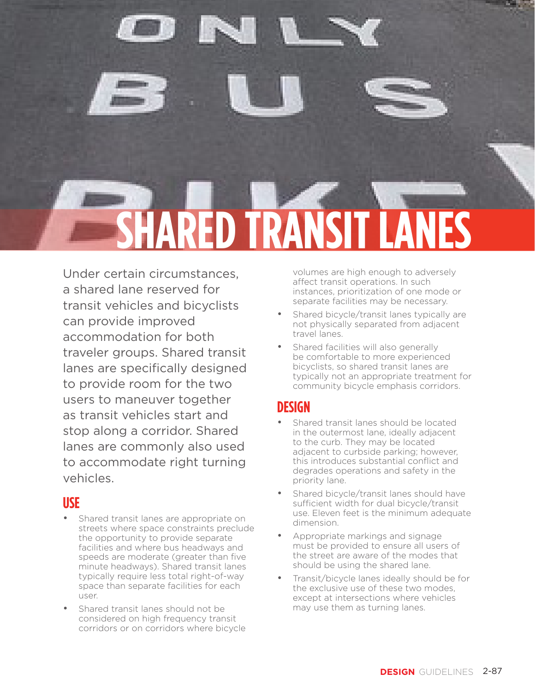

Under certain circumstances, a shared lane reserved for transit vehicles and bicyclists can provide improved accommodation for both traveler groups. Shared transit lanes are specifically designed to provide room for the two users to maneuver together as transit vehicles start and stop along a corridor. Shared lanes are commonly also used to accommodate right turning vehicles.

#### **USE**

- Shared transit lanes are appropriate on streets where space constraints preclude the opportunity to provide separate facilities and where bus headways and speeds are moderate (greater than five minute headways). Shared transit lanes typically require less total right-of-way space than separate facilities for each user.
- Shared transit lanes should not be considered on high frequency transit corridors or on corridors where bicycle

volumes are high enough to adversely affect transit operations. In such instances, prioritization of one mode or separate facilities may be necessary.

- Shared bicycle/transit lanes typically are not physically separated from adjacent travel lanes.
- Shared facilities will also generally be comfortable to more experienced bicyclists, so shared transit lanes are typically not an appropriate treatment for community bicycle emphasis corridors.

## **DESIGN**

- Shared transit lanes should be located in the outermost lane, ideally adjacent to the curb. They may be located adjacent to curbside parking; however, this introduces substantial conflict and degrades operations and safety in the priority lane.
- Shared bicycle/transit lanes should have sufficient width for dual bicycle/transit use. Eleven feet is the minimum adequate dimension.
- Appropriate markings and signage must be provided to ensure all users of the street are aware of the modes that should be using the shared lane.
- Transit/bicycle lanes ideally should be for the exclusive use of these two modes, except at intersections where vehicles may use them as turning lanes.